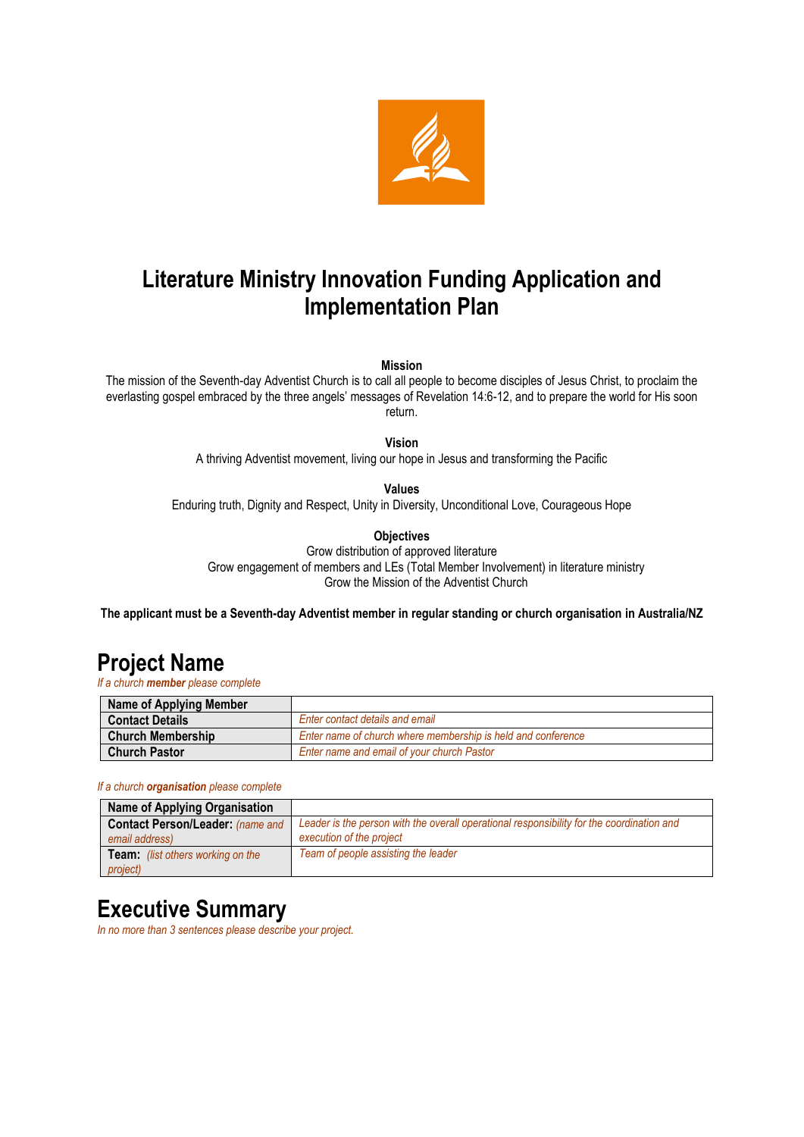

# **Literature Ministry Innovation Funding Application and Implementation Plan**

**Mission**

The mission of the Seventh-day Adventist Church is to call all people to become disciples of Jesus Christ, to proclaim the everlasting gospel embraced by the three angels' messages of Revelation 14:6-12, and to prepare the world for His soon return.

**Vision**

A thriving Adventist movement, living our hope in Jesus and transforming the Pacific

**Values**

Enduring truth, Dignity and Respect, Unity in Diversity, Unconditional Love, Courageous Hope

**Objectives**

Grow distribution of approved literature Grow engagement of members and LEs (Total Member Involvement) in literature ministry Grow the Mission of the Adventist Church

**The applicant must be a Seventh-day Adventist member in regular standing or church organisation in Australia/NZ**

## **Project Name**

*If a church member please complete*

| Name of Applying Member  |                                                              |
|--------------------------|--------------------------------------------------------------|
| <b>Contact Details</b>   | Enter contact details and email                              |
| <b>Church Membership</b> | Enter name of church where membership is held and conference |
| <b>Church Pastor</b>     | Enter name and email of your church Pastor                   |

#### *If a church organisation please complete*

| <b>Name of Applying Organisation</b>                      |                                                                                                                       |
|-----------------------------------------------------------|-----------------------------------------------------------------------------------------------------------------------|
| <b>Contact Person/Leader: (name and</b><br>email address) | Leader is the person with the overall operational responsibility for the coordination and<br>execution of the project |
| <b>Team:</b> (list others working on the<br>project)      | Team of people assisting the leader                                                                                   |

### **Executive Summary**

*In no more than 3 sentences please describe your project.*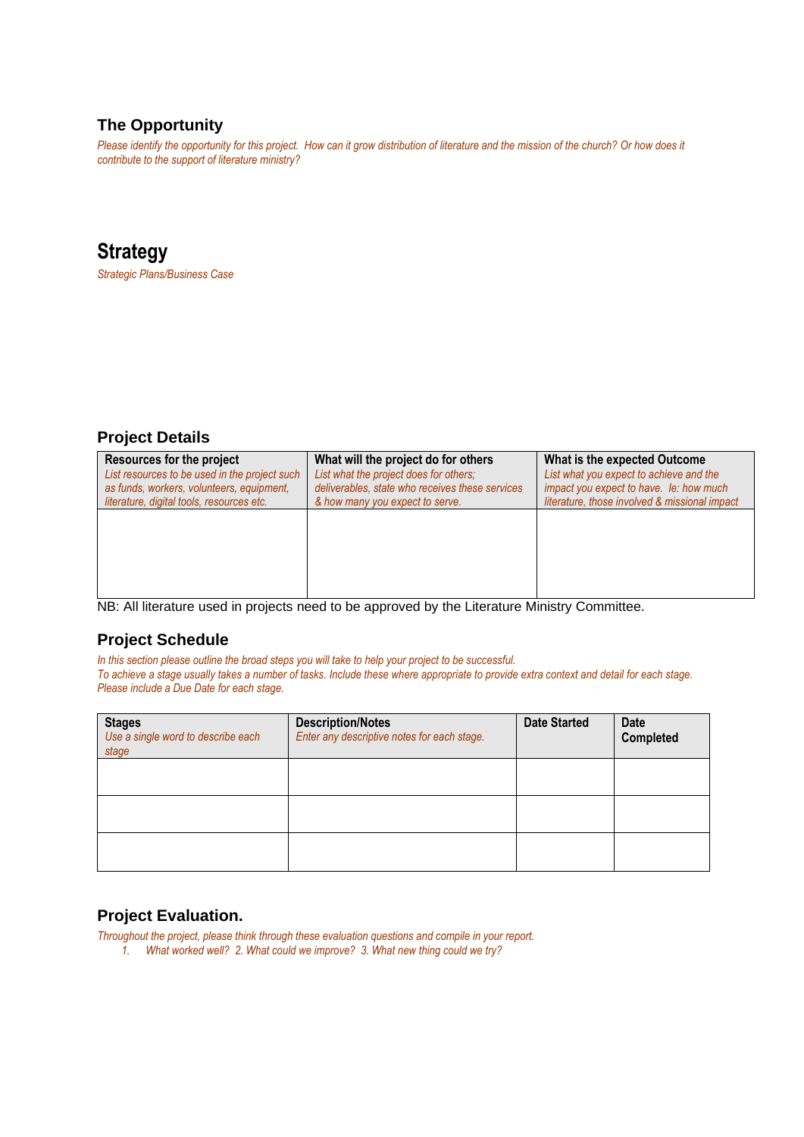### **The Opportunity**

*Please identify the opportunity for this project. How can it grow distribution of literature and the mission of the church? Or how does it contribute to the support of literature ministry?*

### **Strategy**

*Strategic Plans/Business Case*

### **Project Details**

| Resources for the project<br>List resources to be used in the project such<br>as funds, workers, volunteers, equipment,<br>literature, digital tools, resources etc. | What will the project do for others<br>List what the project does for others;<br>deliverables, state who receives these services<br>& how many you expect to serve. | What is the expected Outcome<br>List what you expect to achieve and the<br>impact you expect to have. le: how much<br>literature, those involved & missional impact |  |
|----------------------------------------------------------------------------------------------------------------------------------------------------------------------|---------------------------------------------------------------------------------------------------------------------------------------------------------------------|---------------------------------------------------------------------------------------------------------------------------------------------------------------------|--|
|                                                                                                                                                                      |                                                                                                                                                                     |                                                                                                                                                                     |  |
|                                                                                                                                                                      |                                                                                                                                                                     |                                                                                                                                                                     |  |

NB: All literature used in projects need to be approved by the Literature Ministry Committee.

#### **Project Schedule**

*In this section please outline the broad steps you will take to help your project to be successful.*

*To achieve a stage usually takes a number of tasks. Include these where appropriate to provide extra context and detail for each stage. Please include a Due Date for each stage.* 

| <b>Stages</b><br>Use a single word to describe each<br>stage | <b>Description/Notes</b><br>Enter any descriptive notes for each stage. | <b>Date Started</b> | <b>Date</b><br>Completed |
|--------------------------------------------------------------|-------------------------------------------------------------------------|---------------------|--------------------------|
|                                                              |                                                                         |                     |                          |
|                                                              |                                                                         |                     |                          |
|                                                              |                                                                         |                     |                          |

### **Project Evaluation.**

*Throughout the project, please think through these evaluation questions and compile in your report.*

*1. What worked well? 2. What could we improve? 3. What new thing could we try?*